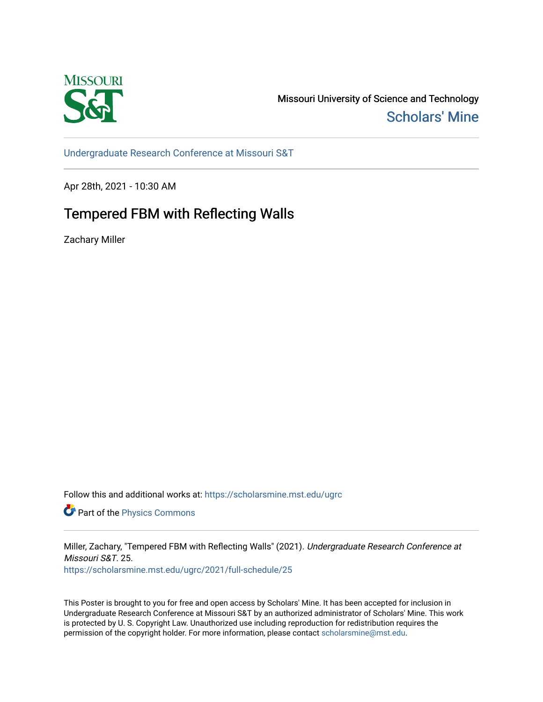

Missouri University of Science and Technology [Scholars' Mine](https://scholarsmine.mst.edu/) 

[Undergraduate Research Conference at Missouri S&T](https://scholarsmine.mst.edu/ugrc)

Apr 28th, 2021 - 10:30 AM

## Tempered FBM with Reflecting Walls

Zachary Miller

Follow this and additional works at: [https://scholarsmine.mst.edu/ugrc](https://scholarsmine.mst.edu/ugrc?utm_source=scholarsmine.mst.edu%2Fugrc%2F2021%2Ffull-schedule%2F25&utm_medium=PDF&utm_campaign=PDFCoverPages) 

**Part of the [Physics Commons](http://network.bepress.com/hgg/discipline/193?utm_source=scholarsmine.mst.edu%2Fugrc%2F2021%2Ffull-schedule%2F25&utm_medium=PDF&utm_campaign=PDFCoverPages)** 

Miller, Zachary, "Tempered FBM with Reflecting Walls" (2021). Undergraduate Research Conference at Missouri S&T. 25.

[https://scholarsmine.mst.edu/ugrc/2021/full-schedule/25](https://scholarsmine.mst.edu/ugrc/2021/full-schedule/25?utm_source=scholarsmine.mst.edu%2Fugrc%2F2021%2Ffull-schedule%2F25&utm_medium=PDF&utm_campaign=PDFCoverPages) 

This Poster is brought to you for free and open access by Scholars' Mine. It has been accepted for inclusion in Undergraduate Research Conference at Missouri S&T by an authorized administrator of Scholars' Mine. This work is protected by U. S. Copyright Law. Unauthorized use including reproduction for redistribution requires the permission of the copyright holder. For more information, please contact [scholarsmine@mst.edu](mailto:scholarsmine@mst.edu).